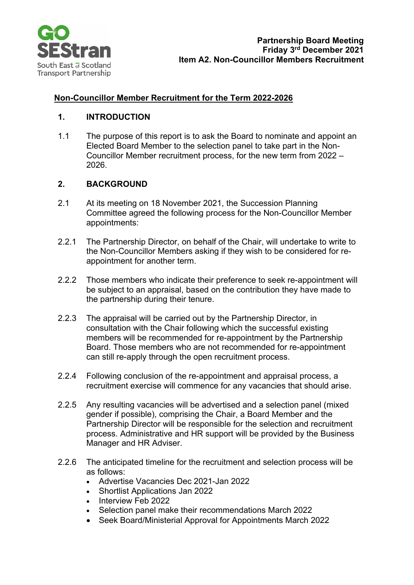

## **Non-Councillor Member Recruitment for the Term 2022-2026**

#### **1. INTRODUCTION**

1.1 The purpose of this report is to ask the Board to nominate and appoint an Elected Board Member to the selection panel to take part in the Non-Councillor Member recruitment process, for the new term from 2022 – 2026.

### **2. BACKGROUND**

- 2.1 At its meeting on 18 November 2021, the Succession Planning Committee agreed the following process for the Non-Councillor Member appointments:
- 2.2.1 The Partnership Director, on behalf of the Chair, will undertake to write to the Non-Councillor Members asking if they wish to be considered for reappointment for another term.
- 2.2.2 Those members who indicate their preference to seek re-appointment will be subject to an appraisal, based on the contribution they have made to the partnership during their tenure.
- 2.2.3 The appraisal will be carried out by the Partnership Director, in consultation with the Chair following which the successful existing members will be recommended for re-appointment by the Partnership Board. Those members who are not recommended for re-appointment can still re-apply through the open recruitment process.
- 2.2.4 Following conclusion of the re-appointment and appraisal process, a recruitment exercise will commence for any vacancies that should arise.
- 2.2.5 Any resulting vacancies will be advertised and a selection panel (mixed gender if possible), comprising the Chair, a Board Member and the Partnership Director will be responsible for the selection and recruitment process. Administrative and HR support will be provided by the Business Manager and HR Adviser.
- 2.2.6 The anticipated timeline for the recruitment and selection process will be as follows:
	- Advertise Vacancies Dec 2021-Jan 2022
	- Shortlist Applications Jan 2022
	- Interview Feb 2022
	- Selection panel make their recommendations March 2022
	- Seek Board/Ministerial Approval for Appointments March 2022